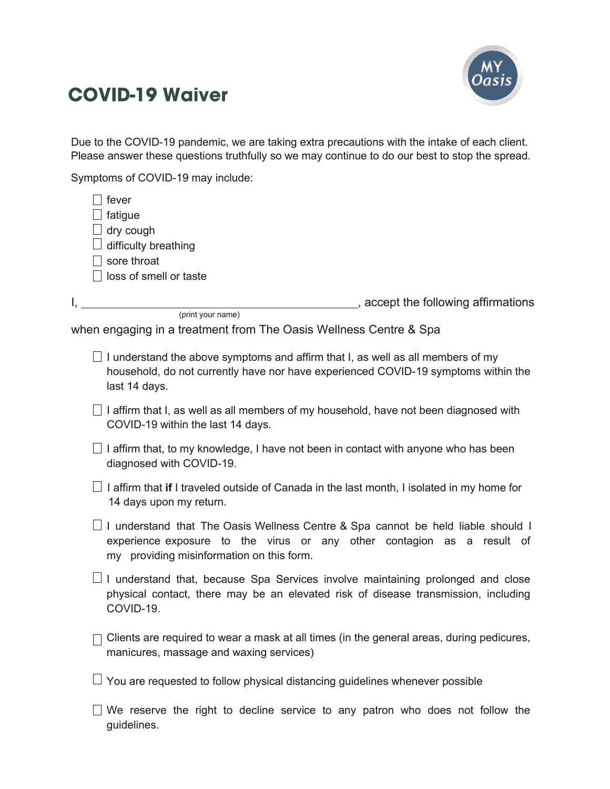

## **COVID-19 Waiver**

Due to the COVID-19 pandemic, we are taking extra precautions with the intake of each client. Please answer these questions truthfully so we may continue to do our best to stop the spread.

Symptoms of COVID-19 may include:

guidelines.

| fever<br>fatigue<br>dry cough<br>difficulty breathing<br>sore throat<br>loss of smell or taste |                                                                                                                                                                                                         |
|------------------------------------------------------------------------------------------------|---------------------------------------------------------------------------------------------------------------------------------------------------------------------------------------------------------|
|                                                                                                | ___, accept the following affirmations                                                                                                                                                                  |
|                                                                                                | (print your name)<br>when engaging in a treatment from The Oasis Wellness Centre & Spa                                                                                                                  |
| last 14 days.                                                                                  | I understand the above symptoms and affirm that I, as well as all members of my<br>household, do not currently have nor have experienced COVID-19 symptoms within the                                   |
|                                                                                                | I affirm that I, as well as all members of my household, have not been diagnosed with<br>COVID-19 within the last 14 days.                                                                              |
|                                                                                                | I affirm that, to my knowledge, I have not been in contact with anyone who has been<br>diagnosed with COVID-19.                                                                                         |
|                                                                                                | I affirm that if I traveled outside of Canada in the last month, I isolated in my home for<br>14 days upon my return.                                                                                   |
|                                                                                                | I understand that The Oasis Wellness Centre & Spa cannot be held liable should I<br>experience exposure to the virus or any other contagion as a result of<br>my providing misinformation on this form. |
| COVID-19.                                                                                      | I understand that, because Spa Services involve maintaining prolonged and close<br>physical contact, there may be an elevated risk of disease transmission, including                                   |
|                                                                                                | Clients are required to wear a mask at all times (in the general areas, during pedicures,<br>manicures, massage and waxing services)                                                                    |
|                                                                                                | You are requested to follow physical distancing guidelines whenever possible                                                                                                                            |
|                                                                                                | We reserve the right to decline service to any patron who does not follow the                                                                                                                           |